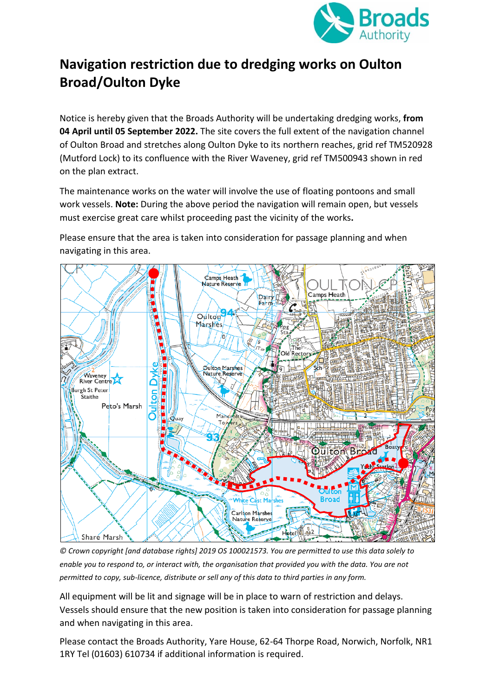

## **Navigation restriction due to dredging works on Oulton Broad/Oulton Dyke**

Notice is hereby given that the Broads Authority will be undertaking dredging works, **from 04 April until 05 September 2022.** The site covers the full extent of the navigation channel of Oulton Broad and stretches along Oulton Dyke to its northern reaches, grid ref TM520928 (Mutford Lock) to its confluence with the River Waveney, grid ref TM500943 shown in red on the plan extract.

The maintenance works on the water will involve the use of floating pontoons and small work vessels. **Note:** During the above period the navigation will remain open, but vessels must exercise great care whilst proceeding past the vicinity of the works**.**

Please ensure that the area is taken into consideration for passage planning and when navigating in this area.



*© Crown copyright [and database rights] 2019 OS 100021573. You are permitted to use this data solely to enable you to respond to, or interact with, the organisation that provided you with the data. You are not permitted to copy, sub-licence, distribute or sell any of this data to third parties in any form.* 

All equipment will be lit and signage will be in place to warn of restriction and delays. Vessels should ensure that the new position is taken into consideration for passage planning and when navigating in this area.

Please contact the Broads Authority, Yare House, 62-64 Thorpe Road, Norwich, Norfolk, NR1 1RY Tel (01603) 610734 if additional information is required.